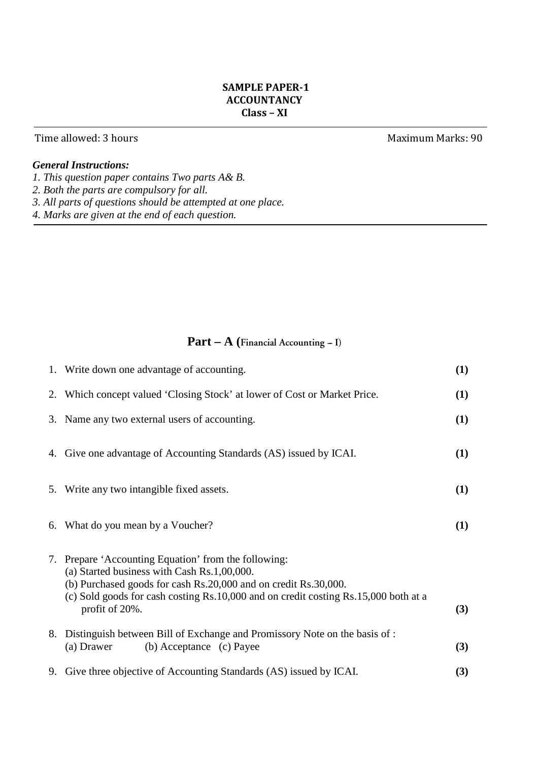# **SAMPLE PAPER-1 ACCOUNTANCY Class – XI**

# Time allowed: 3 hours **Maximum Marks: 90**

# *General Instructions:*

- *1. This question paper contains Two parts A& B.*
- *2. Both the parts are compulsory for all.*
- *3. All parts of questions should be attempted at one place.*
- *4. Marks are given at the end of each question.*

# **Part – A (Financial Accounting -- I)**

| 1. Write down one advantage of accounting.                                                                                                                                                                                                                                      | (1) |
|---------------------------------------------------------------------------------------------------------------------------------------------------------------------------------------------------------------------------------------------------------------------------------|-----|
| 2. Which concept valued 'Closing Stock' at lower of Cost or Market Price.                                                                                                                                                                                                       | (1) |
| 3. Name any two external users of accounting.                                                                                                                                                                                                                                   | (1) |
| 4. Give one advantage of Accounting Standards (AS) issued by ICAI.                                                                                                                                                                                                              | (1) |
| 5. Write any two intangible fixed assets.                                                                                                                                                                                                                                       | (1) |
| 6. What do you mean by a Voucher?                                                                                                                                                                                                                                               | (1) |
| 7. Prepare 'Accounting Equation' from the following:<br>(a) Started business with Cash Rs.1,00,000.<br>(b) Purchased goods for cash Rs.20,000 and on credit Rs.30,000.<br>(c) Sold goods for cash costing Rs.10,000 and on credit costing Rs.15,000 both at a<br>profit of 20%. | (3) |
| 8. Distinguish between Bill of Exchange and Promissory Note on the basis of :<br>(b) Acceptance (c) Payee<br>(a) Drawer                                                                                                                                                         | (3) |
| 9. Give three objective of Accounting Standards (AS) issued by ICAI.                                                                                                                                                                                                            | (3) |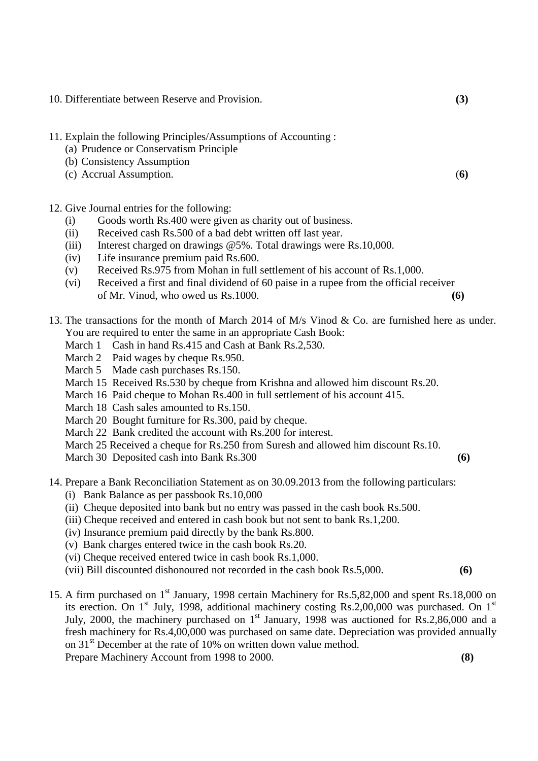- 10. Differentiate between Reserve and Provision. **(3)**
- 11. Explain the following Principles/Assumptions of Accounting :
	- (a) Prudence or Conservatism Principle
	- (b) Consistency Assumption
	- (c) Accrual Assumption. (**6)**
- 12. Give Journal entries for the following:
	- (i) Goods worth Rs.400 were given as charity out of business.
	- (ii) Received cash Rs.500 of a bad debt written off last year.
	- (iii) Interest charged on drawings @5%. Total drawings were Rs.10,000.
	- (iv) Life insurance premium paid Rs.600.
	- (v) Received Rs.975 from Mohan in full settlement of his account of Rs.1,000.
	- (vi) Received a first and final dividend of 60 paise in a rupee from the official receiver of Mr. Vinod, who owed us Rs.1000. **(6)**
- 13. The transactions for the month of March 2014 of M/s Vinod & Co. are furnished here as under. You are required to enter the same in an appropriate Cash Book:
	- March 1 Cash in hand Rs.415 and Cash at Bank Rs.2,530.
	- March 2 Paid wages by cheque Rs.950.
	- March 5 Made cash purchases Rs.150.
	- March 15 Received Rs.530 by cheque from Krishna and allowed him discount Rs.20.
	- March 16 Paid cheque to Mohan Rs.400 in full settlement of his account 415.
	- March 18 Cash sales amounted to Rs.150.
	- March 20 Bought furniture for Rs.300, paid by cheque.
	- March 22 Bank credited the account with Rs.200 for interest.
	- March 25 Received a cheque for Rs.250 from Suresh and allowed him discount Rs.10.
	- March 30 Deposited cash into Bank Rs.300 **(6)**

- 14. Prepare a Bank Reconciliation Statement as on 30.09.2013 from the following particulars:
	- (i) Bank Balance as per passbook Rs.10,000
	- (ii) Cheque deposited into bank but no entry was passed in the cash book Rs.500.
	- (iii) Cheque received and entered in cash book but not sent to bank Rs.1,200.
	- (iv) Insurance premium paid directly by the bank Rs.800.
	- (v) Bank charges entered twice in the cash book Rs.20.
	- (vi) Cheque received entered twice in cash book Rs.1,000.
	- (vii).Bill discounted dishonoured not recorded in the cash book Rs.5,000. **(6)**
- 15. A firm purchased on 1<sup>st</sup> January, 1998 certain Machinery for Rs.5,82,000 and spent Rs.18,000 on its erection. On  $1<sup>st</sup>$  July, 1998, additional machinery costing Rs.2,00,000 was purchased. On  $1<sup>st</sup>$ July, 2000, the machinery purchased on  $1<sup>st</sup>$  January, 1998 was auctioned for Rs.2,86,000 and a fresh machinery for Rs.4,00,000 was purchased on same date. Depreciation was provided annually on 31<sup>st</sup> December at the rate of 10% on written down value method. Prepare Machinery Account from 1998 to 2000. **(8)**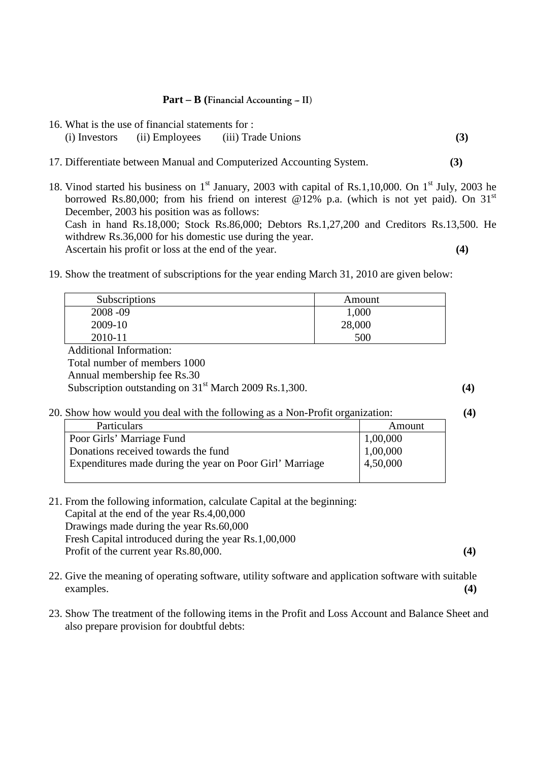#### **Part – B (Financial Accounting -- II)**

- 16. What is the use of financial statements for : (i) Investors (ii) Employees (iii) Trade Unions **(3)**
- 17. Differentiate between Manual and Computerized Accounting System. **(3)**
- 18. Vinod started his business on  $1<sup>st</sup>$  January, 2003 with capital of Rs.1,10,000. On  $1<sup>st</sup>$  July, 2003 he borrowed Rs.80,000; from his friend on interest @12% p.a. (which is not yet paid). On 31<sup>st</sup> December, 2003 his position was as follows: Cash in hand Rs.18,000; Stock Rs.86,000; Debtors Rs.1,27,200 and Creditors Rs.13,500. He withdrew Rs.36,000 for his domestic use during the year. Ascertain his profit or loss at the end of the year. **(4)**
- 19. Show the treatment of subscriptions for the year ending March 31, 2010 are given below:

| <b>Subscriptions</b>                                                                                                                                                                                                                                                                                                                                                                      | Amount |
|-------------------------------------------------------------------------------------------------------------------------------------------------------------------------------------------------------------------------------------------------------------------------------------------------------------------------------------------------------------------------------------------|--------|
| $2008 - 09$                                                                                                                                                                                                                                                                                                                                                                               | 1,000  |
| 2009-10                                                                                                                                                                                                                                                                                                                                                                                   | 28,000 |
| 2010-11                                                                                                                                                                                                                                                                                                                                                                                   | 500    |
| $\lambda$ 11. $\lambda$ 1 $\lambda$ 1 $\lambda$ 1 $\lambda$ 1 $\lambda$ 1 $\lambda$ 1 $\lambda$ 1 $\lambda$ 1 $\lambda$ 1 $\lambda$ 1 $\lambda$ 1 $\lambda$ 1 $\lambda$ 1 $\lambda$ 1 $\lambda$ 1 $\lambda$ 1 $\lambda$ 1 $\lambda$ 1 $\lambda$ 1 $\lambda$ 1 $\lambda$ 1 $\lambda$ 1 $\lambda$ 1 $\lambda$ 1 $\lambda$ 1 $\lambda$ 1 $\lambda$ 1 $\lambda$ 1 $\lambda$ 1 $\lambda$ 1 $\$ |        |

 Additional Information: Total number of members 1000 Annual membership fee Rs.30

Subscription outstanding on  $31<sup>st</sup>$  March 2009 Rs.1,300.  $(4)$ 

#### 20. Show how would you deal with the following as a Non-Profit organization: **(4)**

| Particulars                                              | Amount   |
|----------------------------------------------------------|----------|
| Poor Girls' Marriage Fund                                | 1,00,000 |
| Donations received towards the fund                      | 1,00,000 |
| Expenditures made during the year on Poor Girl' Marriage | 4,50,000 |
|                                                          |          |

- 21. From the following information, calculate Capital at the beginning: Capital at the end of the year Rs.4,00,000 Drawings made during the year Rs.60,000 Fresh Capital introduced during the year Rs.1,00,000 Profit of the current year Rs.80,000. **(4)** (4)
- 22. Give the meaning of operating software, utility software and application software with suitable examples. **(4)**
- 23. Show The treatment of the following items in the Profit and Loss Account and Balance Sheet and also prepare provision for doubtful debts: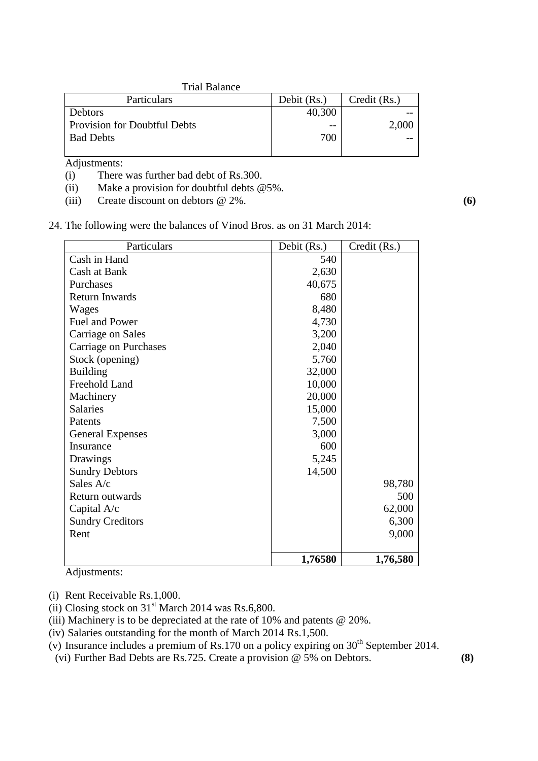#### Trial Balance

| Particulars                  | Debit (Rs.) | Credit (Rs.) |
|------------------------------|-------------|--------------|
| Debtors                      | 40,300      |              |
| Provision for Doubtful Debts | $ -$        | 2,000        |
| <b>Bad Debts</b>             | 700         |              |
|                              |             |              |

Adjustments:

- (i) There was further bad debt of Rs.300.
- (ii) Make a provision for doubtful debts  $@5\%$ .
- (iii) Create discount on debtors @ 2%. **(6)**
- 24. The following were the balances of Vinod Bros. as on 31 March 2014:

| Particulars             | Debit (Rs.) | Credit (Rs.) |
|-------------------------|-------------|--------------|
| Cash in Hand            | 540         |              |
| Cash at Bank            | 2,630       |              |
| Purchases               | 40,675      |              |
| <b>Return Inwards</b>   | 680         |              |
| Wages                   | 8,480       |              |
| Fuel and Power          | 4,730       |              |
| Carriage on Sales       | 3,200       |              |
| Carriage on Purchases   | 2,040       |              |
| Stock (opening)         | 5,760       |              |
| <b>Building</b>         | 32,000      |              |
| Freehold Land           | 10,000      |              |
| Machinery               | 20,000      |              |
| <b>Salaries</b>         | 15,000      |              |
| Patents                 | 7,500       |              |
| <b>General Expenses</b> | 3,000       |              |
| Insurance               | 600         |              |
| Drawings                | 5,245       |              |
| <b>Sundry Debtors</b>   | 14,500      |              |
| Sales A/c               |             | 98,780       |
| Return outwards         |             | 500          |
| Capital A/c             |             | 62,000       |
| <b>Sundry Creditors</b> |             | 6,300        |
| Rent                    |             | 9,000        |
|                         | 1,76580     | 1,76,580     |

Adjustments:

- (i) Rent Receivable Rs.1,000.
- (ii) Closing stock on  $31<sup>st</sup>$  March 2014 was Rs.6,800.
- (iii) Machinery is to be depreciated at the rate of 10% and patents @ 20%.
- (iv) Salaries outstanding for the month of March 2014 Rs.1,500.
- (v) Insurance includes a premium of Rs.170 on a policy expiring on  $30<sup>th</sup>$  September 2014.
- (vi) Further Bad Debts are Rs.725. Create a provision @ 5% on Debtors. **(8)**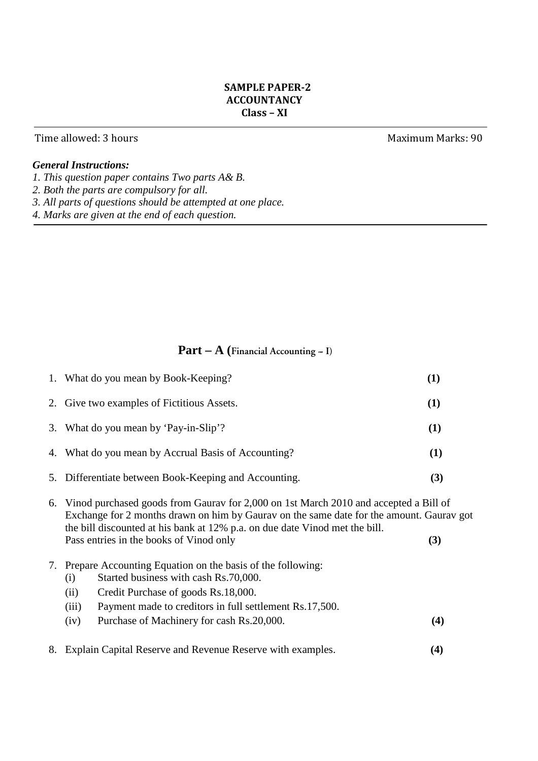# **SAMPLE PAPER-2 ACCOUNTANCY Class – XI**

## Time allowed: 3 hours **Maximum Marks: 90**

# *General Instructions:*

- *1. This question paper contains Two parts A& B.*
- *2. Both the parts are compulsory for all.*
- *3. All parts of questions should be attempted at one place.*
- *4. Marks are given at the end of each question.*

# Part – A (Financial Accounting – I)

|    | 1. What do you mean by Book-Keeping?                                                                                                                                                                                                                                                                          | (1) |
|----|---------------------------------------------------------------------------------------------------------------------------------------------------------------------------------------------------------------------------------------------------------------------------------------------------------------|-----|
|    | 2. Give two examples of Fictitious Assets.                                                                                                                                                                                                                                                                    | (1) |
|    | 3. What do you mean by 'Pay-in-Slip'?                                                                                                                                                                                                                                                                         | (1) |
|    | 4. What do you mean by Accrual Basis of Accounting?                                                                                                                                                                                                                                                           | (1) |
|    | 5. Differentiate between Book-Keeping and Accounting.                                                                                                                                                                                                                                                         | (3) |
|    | 6. Vinod purchased goods from Gaurav for 2,000 on 1st March 2010 and accepted a Bill of<br>Exchange for 2 months drawn on him by Gauray on the same date for the amount. Gauray got<br>the bill discounted at his bank at 12% p.a. on due date Vinod met the bill.<br>Pass entries in the books of Vinod only | (3) |
|    | 7. Prepare Accounting Equation on the basis of the following:<br>Started business with cash Rs.70,000.<br>(i)<br>Credit Purchase of goods Rs.18,000.<br>(ii)<br>Payment made to creditors in full settlement Rs.17,500.<br>(iii)<br>Purchase of Machinery for cash Rs.20,000.<br>(iv)                         | (4) |
| 8. | Explain Capital Reserve and Revenue Reserve with examples.                                                                                                                                                                                                                                                    | (4) |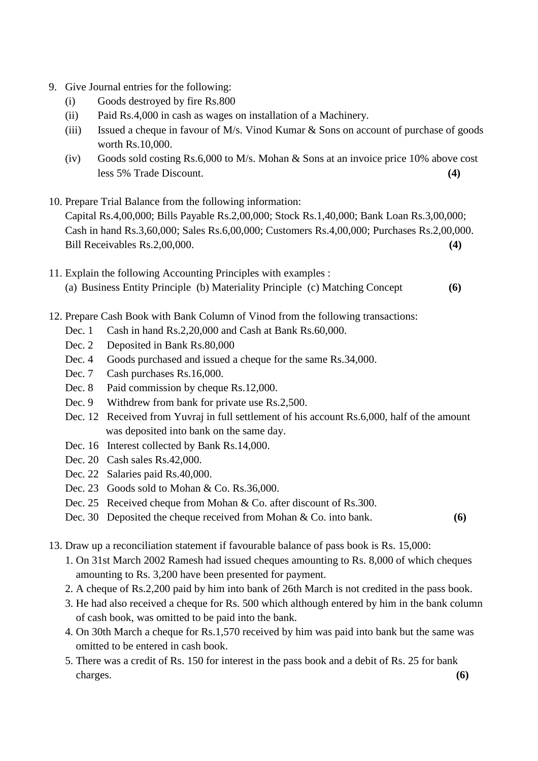- 9. Give Journal entries for the following:
	- (i) Goods destroyed by fire Rs.800
	- (ii) Paid Rs.4,000 in cash as wages on installation of a Machinery.
	- (iii) Issued a cheque in favour of M/s. Vinod Kumar & Sons on account of purchase of goods worth Rs.10,000.
	- (iv) Goods sold costing Rs.6,000 to M/s. Mohan & Sons at an invoice price 10% above cost less 5% Trade Discount. **(4)**
- 10. Prepare Trial Balance from the following information: Capital Rs.4,00,000; Bills Payable Rs.2,00,000; Stock Rs.1,40,000; Bank Loan Rs.3,00,000; Cash in hand Rs.3,60,000; Sales Rs.6,00,000; Customers Rs.4,00,000; Purchases Rs.2,00,000. Bill Receivables Rs.2,00,000. **(4)**
- 11. Explain the following Accounting Principles with examples : (a) Business Entity Principle (b) Materiality Principle (c) Matching Concept **(6)**
- 12. Prepare Cash Book with Bank Column of Vinod from the following transactions:
	- Dec. 1 Cash in hand Rs.2,20,000 and Cash at Bank Rs.60,000.
	- Dec. 2 Deposited in Bank Rs.80,000
	- Dec. 4 Goods purchased and issued a cheque for the same Rs.34,000.
	- Dec. 7 Cash purchases Rs.16,000.
	- Dec. 8 Paid commission by cheque Rs.12,000.
	- Dec. 9 Withdrew from bank for private use Rs.2,500.
	- Dec. 12 Received from Yuvraj in full settlement of his account Rs.6,000, half of the amount was deposited into bank on the same day.
	- Dec. 16 Interest collected by Bank Rs.14,000.
	- Dec. 20 Cash sales Rs.42,000.
	- Dec. 22 Salaries paid Rs.40,000.
	- Dec. 23 Goods sold to Mohan & Co. Rs.36,000.
	- Dec. 25 Received cheque from Mohan & Co. after discount of Rs.300.
	- Dec. 30 Deposited the cheque received from Mohan & Co. into bank. **(6)**
- 13. Draw up a reconciliation statement if favourable balance of pass book is Rs. 15,000:
	- 1. On 31st March 2002 Ramesh had issued cheques amounting to Rs. 8,000 of which cheques amounting to Rs. 3,200 have been presented for payment.
	- 2. A cheque of Rs.2,200 paid by him into bank of 26th March is not credited in the pass book.
	- 3. He had also received a cheque for Rs. 500 which although entered by him in the bank column of cash book, was omitted to be paid into the bank.
	- 4. On 30th March a cheque for Rs.1,570 received by him was paid into bank but the same was omitted to be entered in cash book.
- 5. There was a credit of Rs. 150 for interest in the pass book and a debit of Rs. 25 for bank charges. **(6)**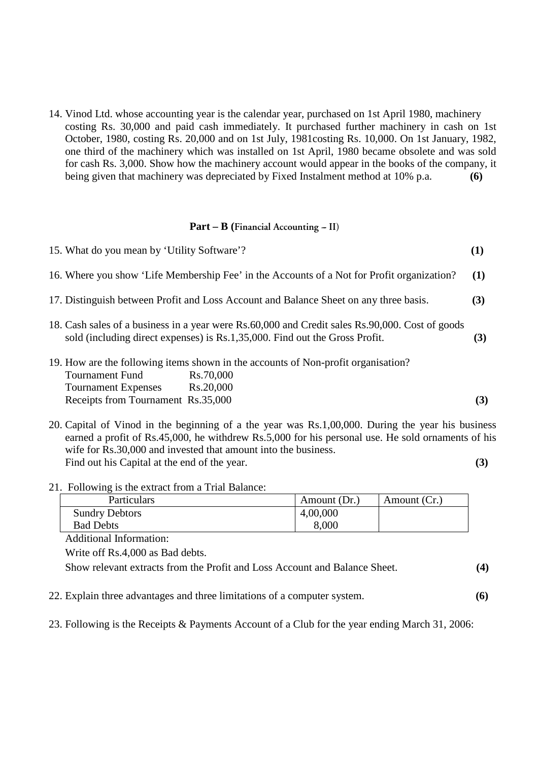14. Vinod Ltd. whose accounting year is the calendar year, purchased on 1st April 1980, machinery costing Rs. 30,000 and paid cash immediately. It purchased further machinery in cash on 1st October, 1980, costing Rs. 20,000 and on 1st July, 1981costing Rs. 10,000. On 1st January, 1982, one third of the machinery which was installed on 1st April, 1980 became obsolete and was sold for cash Rs. 3,000. Show how the machinery account would appear in the books of the company, it being given that machinery was depreciated by Fixed Instalment method at 10% p.a. **(6)** 

#### Part – B (Financial Accounting – II)

| 15. What do you mean by 'Utility Software'?                                                                                                                                    |                                                                                                             |            |
|--------------------------------------------------------------------------------------------------------------------------------------------------------------------------------|-------------------------------------------------------------------------------------------------------------|------------|
|                                                                                                                                                                                | 16. Where you show 'Life Membership Fee' in the Accounts of a Not for Profit organization?                  | <b>(1)</b> |
|                                                                                                                                                                                | 17. Distinguish between Profit and Loss Account and Balance Sheet on any three basis.                       | (3)        |
| 18. Cash sales of a business in a year were Rs.60,000 and Credit sales Rs.90,000. Cost of goods<br>sold (including direct expenses) is Rs.1,35,000. Find out the Gross Profit. |                                                                                                             | (3)        |
| <b>Tournament Fund</b><br><b>Tournament Expenses</b><br>Receipts from Tournament Rs.35,000                                                                                     | 19. How are the following items shown in the accounts of Non-profit organisation?<br>Rs.70,000<br>Rs.20,000 | (3)        |

20. Capital of Vinod in the beginning of a the year was Rs.1,00,000. During the year his business earned a profit of Rs.45,000, he withdrew Rs.5,000 for his personal use. He sold ornaments of his wife for Rs.30,000 and invested that amount into the business. Find out his Capital at the end of the year. **(3)** 

#### 21. Following is the extract from a Trial Balance:

| <b>Particulars</b>    | Amount (Dr.) | Amount (Cr.) |
|-----------------------|--------------|--------------|
| <b>Sundry Debtors</b> | 4,00,000     |              |
| Bad Debts             | 8,000        |              |

Additional Information:

Write off Rs.4,000 as Bad debts.

Show relevant extracts from the Profit and Loss Account and Balance Sheet. **(4)**

22. Explain three advantages and three limitations of a computer system. **(6)** 

23. Following is the Receipts & Payments Account of a Club for the year ending March 31, 2006: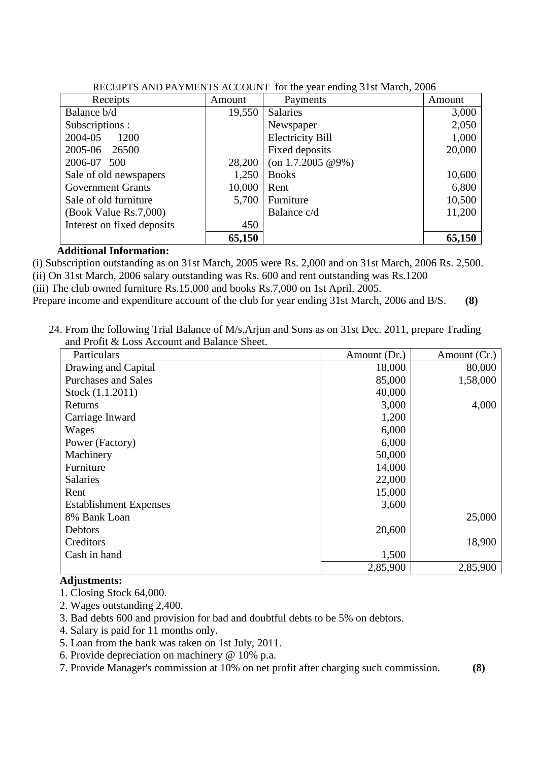| Receipts                   | Amount | Payments                | Amount |
|----------------------------|--------|-------------------------|--------|
| Balance b/d                | 19,550 | <b>Salaries</b>         | 3,000  |
| Subscriptions :            |        | Newspaper               | 2,050  |
| 2004-05<br>1200            |        | <b>Electricity Bill</b> | 1,000  |
| 2005-06<br>26500           |        | Fixed deposits          | 20,000 |
| 2006-07 500                | 28,200 | $($ on 1.7.2005 @9%)    |        |
| Sale of old newspapers     | 1,250  | <b>Books</b>            | 10,600 |
| <b>Government Grants</b>   | 10,000 | Rent                    | 6,800  |
| Sale of old furniture      | 5,700  | Furniture               | 10,500 |
| (Book Value Rs.7,000)      |        | Balance c/d             | 11,200 |
| Interest on fixed deposits | 450    |                         |        |
|                            | 65,150 |                         | 65,150 |

| RECEIPTS AND PAYMENTS ACCOUNT for the year ending 31st March, 2006 |  |
|--------------------------------------------------------------------|--|
|                                                                    |  |

### **Additional Information:**

(i) Subscription outstanding as on 31st March, 2005 were Rs. 2,000 and on 31st March, 2006 Rs. 2,500. (ii) On 31st March, 2006 salary outstanding was Rs. 600 and rent outstanding was Rs.1200 (iii) The club owned furniture Rs.15,000 and books Rs.7,000 on 1st April, 2005.

Prepare income and expenditure account of the club for year ending 31st March, 2006 and B/S. **(8)** 

24. From the following Trial Balance of M/s.Arjun and Sons as on 31st Dec. 2011, prepare Trading and Profit & Loss Account and Balance Sheet.

| Particulars                   | Amount (Dr.) | Amount (Cr.) |
|-------------------------------|--------------|--------------|
| Drawing and Capital           | 18,000       | 80,000       |
| <b>Purchases and Sales</b>    | 85,000       | 1,58,000     |
| Stock (1.1.2011)              | 40,000       |              |
| Returns                       | 3,000        | 4,000        |
| Carriage Inward               | 1,200        |              |
| Wages                         | 6,000        |              |
| Power (Factory)               | 6,000        |              |
| Machinery                     | 50,000       |              |
| Furniture                     | 14,000       |              |
| Salaries                      | 22,000       |              |
| Rent                          | 15,000       |              |
| <b>Establishment Expenses</b> | 3,600        |              |
| 8% Bank Loan                  |              | 25,000       |
| Debtors                       | 20,600       |              |
| Creditors                     |              | 18,900       |
| Cash in hand                  | 1,500        |              |
|                               | 2,85,900     | 2,85,900     |

# **Adjustments:**

- 1. Closing Stock 64,000.
- 2. Wages outstanding 2,400.
- 3. Bad debts 600 and provision for bad and doubtful debts to be 5% on debtors.
- 4. Salary is paid for 11 months only.
- 5. Loan from the bank was taken on 1st July, 2011.
- 6. Provide depreciation on machinery @ 10% p.a.
- 7. Provide Manager's commission at 10% on net profit after charging such commission. **(8)**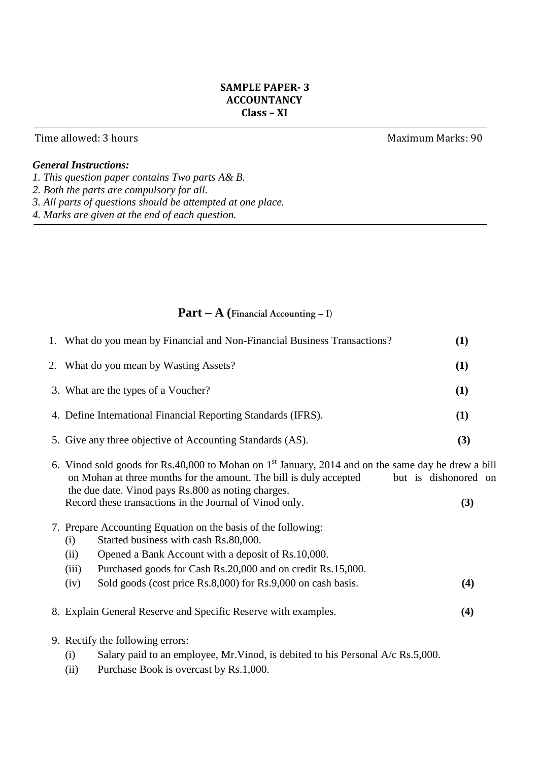# **SAMPLE PAPER- 3 ACCOUNTANCY Class – XI**

## Time allowed: 3 hours **Maximum Marks: 90**

# *General Instructions:*

- *1. This question paper contains Two parts A& B.*
- *2. Both the parts are compulsory for all.*
- *3. All parts of questions should be attempted at one place.*
- *4. Marks are given at the end of each question.*

# Part – A (Financial Accounting – I)

| 1. What do you mean by Financial and Non-Financial Business Transactions?                                                                                                                                                                                          | (1) |
|--------------------------------------------------------------------------------------------------------------------------------------------------------------------------------------------------------------------------------------------------------------------|-----|
| 2. What do you mean by Wasting Assets?                                                                                                                                                                                                                             | (1) |
| 3. What are the types of a Voucher?                                                                                                                                                                                                                                | (1) |
| 4. Define International Financial Reporting Standards (IFRS).                                                                                                                                                                                                      | (1) |
| 5. Give any three objective of Accounting Standards (AS).                                                                                                                                                                                                          | (3) |
| 6. Vinod sold goods for Rs.40,000 to Mohan on 1 <sup>st</sup> January, 2014 and on the same day he drew a bill<br>on Mohan at three months for the amount. The bill is duly accepted<br>but is dishonored on<br>the due date. Vinod pays Rs.800 as noting charges. |     |
| Record these transactions in the Journal of Vinod only.                                                                                                                                                                                                            | (3) |
| 7. Prepare Accounting Equation on the basis of the following:<br>Started business with cash Rs.80,000.<br>(i)                                                                                                                                                      |     |
| Opened a Bank Account with a deposit of Rs.10,000.<br>(ii)<br>Purchased goods for Cash Rs.20,000 and on credit Rs.15,000.<br>(iii)                                                                                                                                 |     |
| Sold goods (cost price Rs.8,000) for Rs.9,000 on cash basis.<br>(iv)                                                                                                                                                                                               | (4) |
| 8. Explain General Reserve and Specific Reserve with examples.                                                                                                                                                                                                     | (4) |
| 9. Rectify the following errors:<br>Salary paid to an employee, Mr. Vinod, is debited to his Personal $A/c$ Rs. 5,000.<br>(i)                                                                                                                                      |     |

(ii) Purchase Book is overcast by Rs.1,000.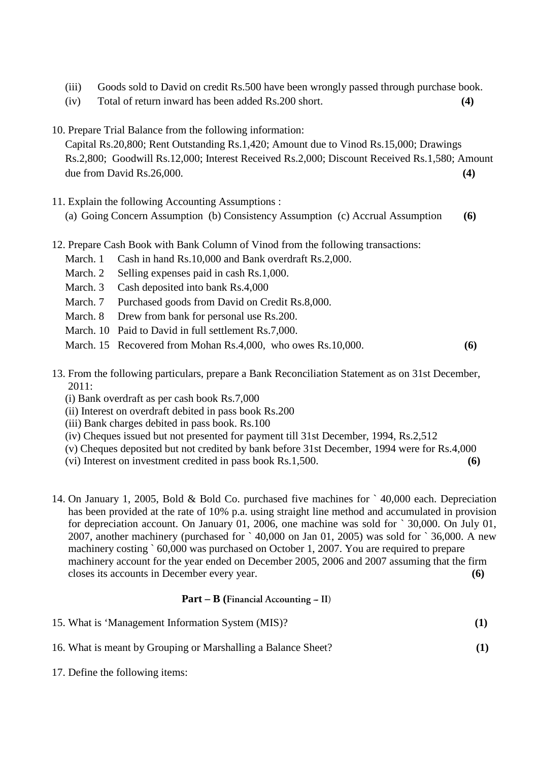- (iii) Goods sold to David on credit Rs.500 have been wrongly passed through purchase book.
- (iv) Total of return inward has been added Rs.200 short. **(4)**
- 10. Prepare Trial Balance from the following information:

Capital Rs.20,800; Rent Outstanding Rs.1,420; Amount due to Vinod Rs.15,000; Drawings Rs.2,800; Goodwill Rs.12,000; Interest Received Rs.2,000; Discount Received Rs.1,580; Amount due from David Rs.26,000. **(4)** 

- 11. Explain the following Accounting Assumptions : (a) Going Concern Assumption (b) Consistency Assumption (c) Accrual Assumption **(6)**
- 12. Prepare Cash Book with Bank Column of Vinod from the following transactions:
	- March. 1 Cash in hand Rs.10,000 and Bank overdraft Rs.2,000.
	- March. 2 Selling expenses paid in cash Rs.1,000.
	- March. 3 Cash deposited into bank Rs.4,000
	- March. 7 Purchased goods from David on Credit Rs.8,000.
	- March. 8 Drew from bank for personal use Rs.200.
	- March. 10 Paid to David in full settlement Rs. 7,000.
	- March. 15 Recovered from Mohan Rs.4,000, who owes Rs.10,000. **(6)**
- 13. From the following particulars, prepare a Bank Reconciliation Statement as on 31st December, 2011:
	- (i) Bank overdraft as per cash book Rs.7,000
	- (ii) Interest on overdraft debited in pass book Rs.200
	- (iii) Bank charges debited in pass book. Rs.100
	- (iv) Cheques issued but not presented for payment till 31st December, 1994, Rs.2,512
	- (v) Cheques deposited but not credited by bank before 31st December, 1994 were for Rs.4,000
	- (vi) Interest on investment credited in pass book Rs.1,500. **(6)**
- 14. On January 1, 2005, Bold & Bold Co. purchased five machines for ` 40,000 each. Depreciation has been provided at the rate of 10% p.a. using straight line method and accumulated in provision for depreciation account. On January 01, 2006, one machine was sold for ` 30,000. On July 01, 2007, another machinery (purchased for  $\degree$  40,000 on Jan 01, 2005) was sold for  $\degree$  36,000. A new machinery costing  $60,000$  was purchased on October 1, 2007. You are required to prepare machinery account for the year ended on December 2005, 2006 and 2007 assuming that the firm closes its accounts in December every year. **(6)**

### **Part – B (Financial Accounting -- II)**

| 15. What is 'Management Information System (MIS)?             |     |
|---------------------------------------------------------------|-----|
| 16. What is meant by Grouping or Marshalling a Balance Sheet? | (1) |

17. Define the following items: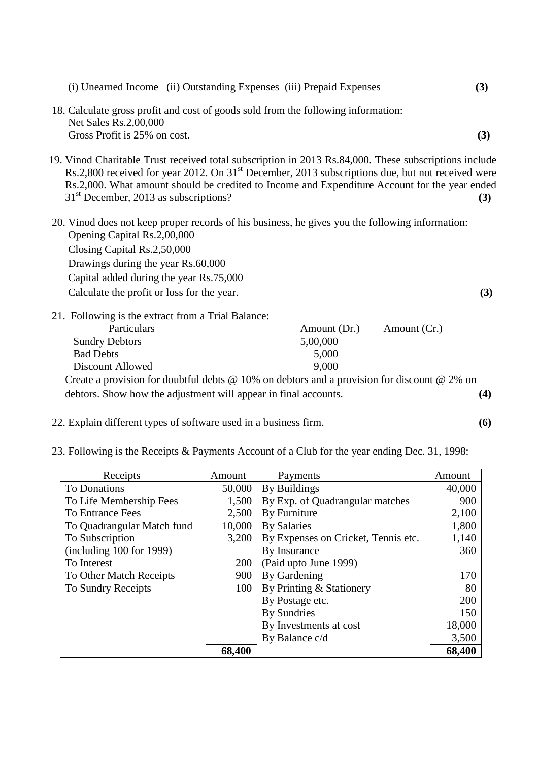| (i) Unearned Income (ii) Outstanding Expenses (iii) Prepaid Expenses              | (3) |
|-----------------------------------------------------------------------------------|-----|
| 18. Calculate gross profit and cost of goods sold from the following information: |     |
| Net Sales Rs.2,00,000<br>Gross Profit is 25% on cost.                             | (3) |

19. Vinod Charitable Trust received total subscription in 2013 Rs.84,000. These subscriptions include Rs.2,800 received for year 2012. On 31<sup>st</sup> December, 2013 subscriptions due, but not received were Rs.2,000. What amount should be credited to Income and Expenditure Account for the year ended 31st December, 2013 as subscriptions? **(3)**

20. Vinod does not keep proper records of his business, he gives you the following information: Opening Capital Rs.2,00,000 Closing Capital Rs.2,50,000 Drawings during the year Rs.60,000 Capital added during the year Rs.75,000 Calculate the profit or loss for the year. **(3)**

21. Following is the extract from a Trial Balance:

| Particulars           | Amount (Dr.) | Amount (Cr.) |
|-----------------------|--------------|--------------|
| <b>Sundry Debtors</b> | 5,00,000     |              |
| <b>Bad Debts</b>      | 5,000        |              |
| Discount Allowed      | 9,000        |              |

Create a provision for doubtful debts @ 10% on debtors and a provision for discount @ 2% on debtors. Show how the adjustment will appear in final accounts. **(4)**

- 22. Explain different types of software used in a business firm. **(6)**
- 23. Following is the Receipts & Payments Account of a Club for the year ending Dec. 31, 1998:

| Receipts                   | Amount | Payments                            | Amount |
|----------------------------|--------|-------------------------------------|--------|
| <b>To Donations</b>        | 50,000 | By Buildings                        | 40,000 |
| To Life Membership Fees    | 1,500  | By Exp. of Quadrangular matches     | 900    |
| <b>To Entrance Fees</b>    | 2,500  | By Furniture                        | 2,100  |
| To Quadrangular Match fund | 10,000 | <b>By Salaries</b>                  | 1,800  |
| To Subscription            | 3,200  | By Expenses on Cricket, Tennis etc. | 1,140  |
| (including 100 for 1999)   |        | By Insurance                        | 360    |
| To Interest                | 200    | (Paid upto June 1999)               |        |
| To Other Match Receipts    | 900    | By Gardening                        | 170    |
| To Sundry Receipts         | 100    | By Printing & Stationery            | 80     |
|                            |        | By Postage etc.                     | 200    |
|                            |        | By Sundries                         | 150    |
|                            |        | By Investments at cost              | 18,000 |
|                            |        | By Balance c/d                      | 3,500  |
|                            | 68,400 |                                     | 68,400 |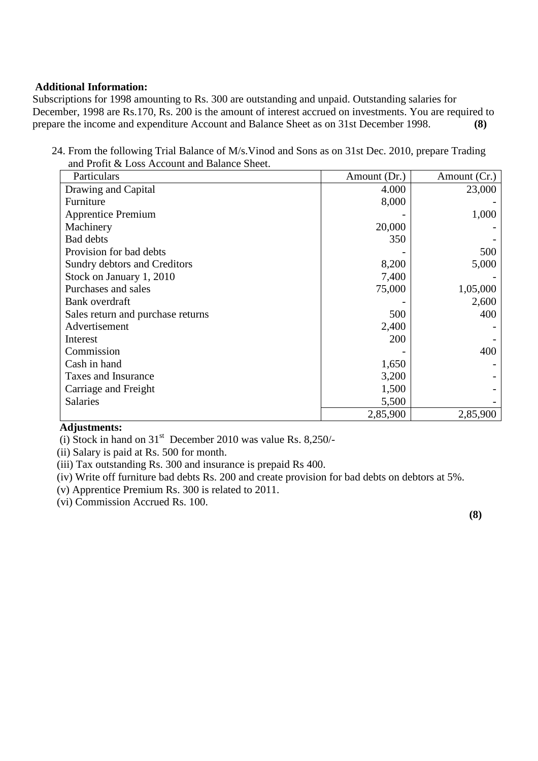### **Additional Information:**

Subscriptions for 1998 amounting to Rs. 300 are outstanding and unpaid. Outstanding salaries for December, 1998 are Rs.170, Rs. 200 is the amount of interest accrued on investments. You are required to prepare the income and expenditure Account and Balance Sheet as on 31st December 1998. **(8)** 

24. From the following Trial Balance of M/s.Vinod and Sons as on 31st Dec. 2010, prepare Trading and Profit & Loss Account and Balance Sheet.

| Particulars                       | Amount (Dr.) | Amount (Cr.) |
|-----------------------------------|--------------|--------------|
| Drawing and Capital               | 4.000        | 23,000       |
| Furniture                         | 8,000        |              |
| <b>Apprentice Premium</b>         |              | 1,000        |
| Machinery                         | 20,000       |              |
| <b>Bad debts</b>                  | 350          |              |
| Provision for bad debts           |              | 500          |
| Sundry debtors and Creditors      | 8,200        | 5,000        |
| Stock on January 1, 2010          | 7,400        |              |
| Purchases and sales               | 75,000       | 1,05,000     |
| Bank overdraft                    |              | 2,600        |
| Sales return and purchase returns | 500          | 400          |
| Advertisement                     | 2,400        |              |
| Interest                          | 200          |              |
| Commission                        |              | 400          |
| Cash in hand                      | 1,650        |              |
| Taxes and Insurance               | 3,200        |              |
| Carriage and Freight              | 1,500        |              |
| Salaries                          | 5,500        |              |
|                                   | 2,85,900     | 2,85,900     |

# **Adjustments:**

(i) Stock in hand on  $31<sup>st</sup>$  December 2010 was value Rs. 8,250/-

(ii) Salary is paid at Rs. 500 for month.

(iii) Tax outstanding Rs. 300 and insurance is prepaid Rs 400.

(iv) Write off furniture bad debts Rs. 200 and create provision for bad debts on debtors at 5%.

(v) Apprentice Premium Rs. 300 is related to 2011.

(vi) Commission Accrued Rs. 100.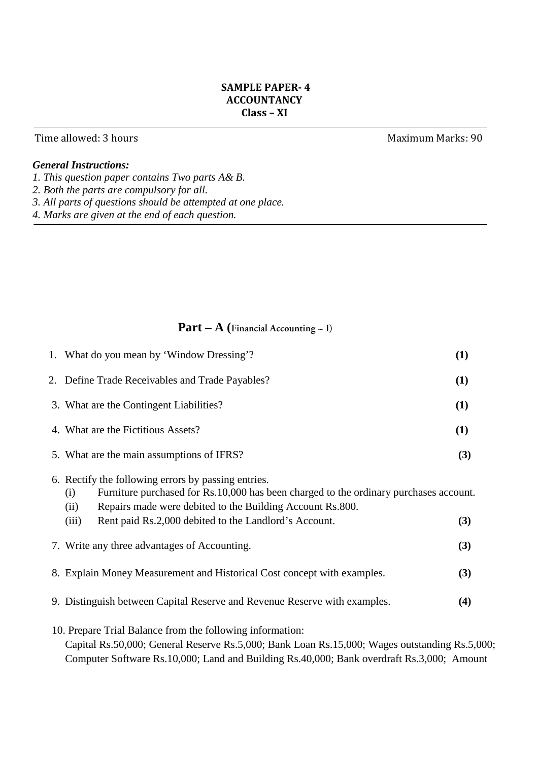# **SAMPLE PAPER- 4 ACCOUNTANCY Class – XI**

## Time allowed: 3 hours **Maximum Marks: 90**

# *General Instructions:*

- *1. This question paper contains Two parts A& B.*
- *2. Both the parts are compulsory for all.*
- *3. All parts of questions should be attempted at one place.*
- *4. Marks are given at the end of each question.*

# Part – A (Financial Accounting – I)

| 1. What do you mean by 'Window Dressing'?                                                                                                                                                                                                                                                  | (1) |
|--------------------------------------------------------------------------------------------------------------------------------------------------------------------------------------------------------------------------------------------------------------------------------------------|-----|
| 2. Define Trade Receivables and Trade Payables?                                                                                                                                                                                                                                            | (1) |
| 3. What are the Contingent Liabilities?                                                                                                                                                                                                                                                    | (1) |
| 4. What are the Fictitious Assets?                                                                                                                                                                                                                                                         | (1) |
| 5. What are the main assumptions of IFRS?                                                                                                                                                                                                                                                  | (3) |
| 6. Rectify the following errors by passing entries.<br>Furniture purchased for Rs.10,000 has been charged to the ordinary purchases account.<br>(i)<br>Repairs made were debited to the Building Account Rs.800.<br>(ii)<br>Rent paid Rs.2,000 debited to the Landlord's Account.<br>(iii) | (3) |
| 7. Write any three advantages of Accounting.                                                                                                                                                                                                                                               | (3) |
| 8. Explain Money Measurement and Historical Cost concept with examples.                                                                                                                                                                                                                    | (3) |
| 9. Distinguish between Capital Reserve and Revenue Reserve with examples.                                                                                                                                                                                                                  | (4) |
| 10. Prepare Trial Balance from the following information:<br>Capital Rs.50,000; General Reserve Rs.5,000; Bank Loan Rs.15,000; Wages outstanding Rs.5,000;                                                                                                                                 |     |

Computer Software Rs.10,000; Land and Building Rs.40,000; Bank overdraft Rs.3,000; Amount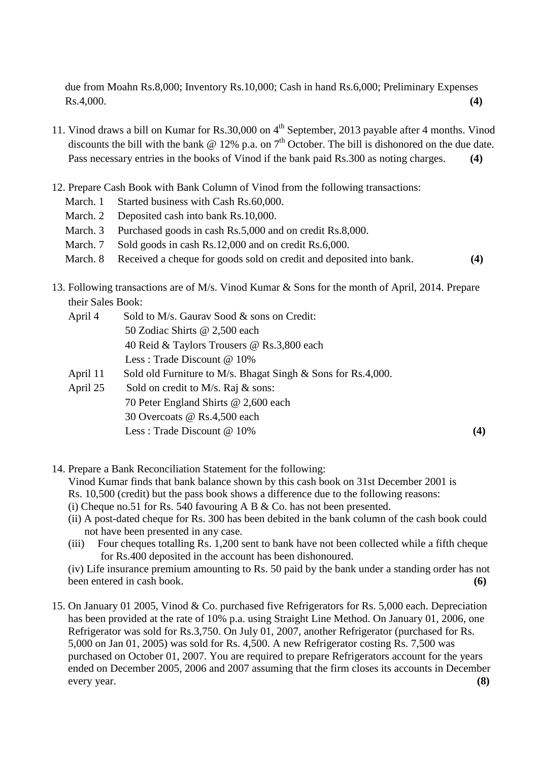due from Moahn Rs.8,000; Inventory Rs.10,000; Cash in hand Rs.6,000; Preliminary Expenses Rs.4,000. **(4)** 

- 11. Vinod draws a bill on Kumar for Rs.30,000 on 4<sup>th</sup> September, 2013 payable after 4 months. Vinod discounts the bill with the bank  $\omega$  12% p.a. on  $7<sup>th</sup>$  October. The bill is dishonored on the due date. Pass necessary entries in the books of Vinod if the bank paid Rs.300 as noting charges. **(4)**
- 12. Prepare Cash Book with Bank Column of Vinod from the following transactions:
	- March. 1 Started business with Cash Rs.60,000.
	- March. 2 Deposited cash into bank Rs. 10,000.
	- March. 3 Purchased goods in cash Rs.5,000 and on credit Rs.8,000.
	- March. 7 Sold goods in cash Rs.12,000 and on credit Rs.6,000.
	- March. 8 Received a cheque for goods sold on credit and deposited into bank. **(4)**
- 13. Following transactions are of M/s. Vinod Kumar & Sons for the month of April, 2014. Prepare their Sales Book:
	- April 4 Sold to M/s. Gaurav Sood & sons on Credit: 50 Zodiac Shirts @ 2,500 each 40 Reid & Taylors Trousers @ Rs.3,800 each Less : Trade Discount @ 10% April 11 Sold old Furniture to M/s. Bhagat Singh & Sons for Rs.4,000.
	- April 25 Sold on credit to M/s. Raj & sons: 70 Peter England Shirts @ 2,600 each 30 Overcoats @ Rs.4,500 each Less : Trade Discount @ 10% **(4)**

14. Prepare a Bank Reconciliation Statement for the following:

Vinod Kumar finds that bank balance shown by this cash book on 31st December 2001 is

- Rs. 10,500 (credit) but the pass book shows a difference due to the following reasons:
- (i) Cheque no.51 for Rs. 540 favouring A B & Co. has not been presented.
- (ii) A post-dated cheque for Rs. 300 has been debited in the bank column of the cash book could not have been presented in any case.
- (iii) Four cheques totalling Rs. 1,200 sent to bank have not been collected while a fifth cheque for Rs.400 deposited in the account has been dishonoured.

(iv) Life insurance premium amounting to Rs. 50 paid by the bank under a standing order has not been entered in cash book. **(6) (6) (6) (6) (6) (6) (6) (6) (6) (6) (6) (6) (6) (6) (6) (6) (6) (6) (6) (6) (6) (6) (6) (6) (6) (6) (6) (6) (6) (6) (6) (6) (6** 

15. On January 01 2005, Vinod & Co. purchased five Refrigerators for Rs. 5,000 each. Depreciation has been provided at the rate of 10% p.a. using Straight Line Method. On January 01, 2006, one Refrigerator was sold for Rs.3,750. On July 01, 2007, another Refrigerator (purchased for Rs. 5,000 on Jan 01, 2005) was sold for Rs. 4,500. A new Refrigerator costing Rs. 7,500 was purchased on October 01, 2007. You are required to prepare Refrigerators account for the years ended on December 2005, 2006 and 2007 assuming that the firm closes its accounts in December every year. **(8)**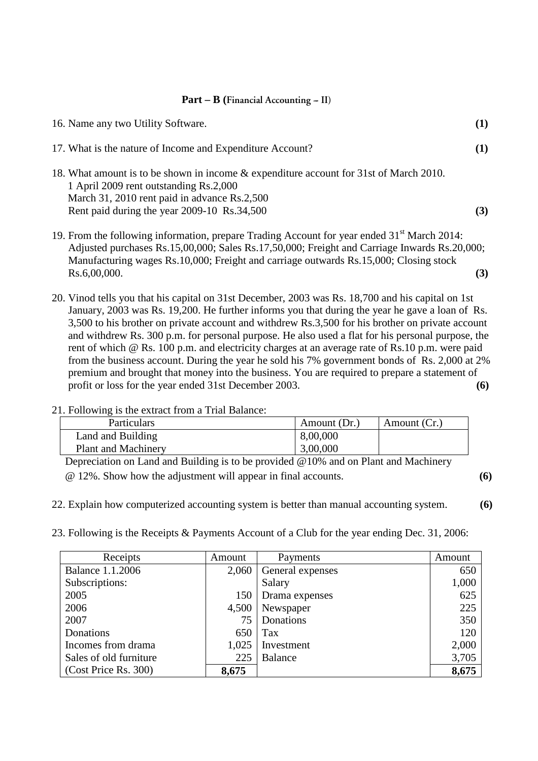#### **Part – B (Financial Accounting -- II)**

| 16. Name any two Utility Software.                                                                                                                                               | $\mathbf{I}$ |
|----------------------------------------------------------------------------------------------------------------------------------------------------------------------------------|--------------|
| 17. What is the nature of Income and Expenditure Account?                                                                                                                        |              |
| 18. What amount is to be shown in income & expenditure account for 31st of March 2010.<br>1 April 2009 rent outstanding Rs.2,000<br>March 31, 2010 rent paid in advance Rs.2,500 |              |
| Rent paid during the year 2009-10 Rs.34,500                                                                                                                                      |              |

- 19. From the following information, prepare Trading Account for year ended  $31<sup>st</sup>$  March 2014: Adjusted purchases Rs.15,00,000; Sales Rs.17,50,000; Freight and Carriage Inwards Rs.20,000; Manufacturing wages Rs.10,000; Freight and carriage outwards Rs.15,000; Closing stock Rs.6,00,000. **(3)**
- 20. Vinod tells you that his capital on 31st December, 2003 was Rs. 18,700 and his capital on 1st January, 2003 was Rs. 19,200. He further informs you that during the year he gave a loan of Rs. 3,500 to his brother on private account and withdrew Rs.3,500 for his brother on private account and withdrew Rs. 300 p.m. for personal purpose. He also used a flat for his personal purpose, the rent of which @ Rs. 100 p.m. and electricity charges at an average rate of Rs.10 p.m. were paid from the business account. During the year he sold his 7% government bonds of Rs. 2,000 at 2% premium and brought that money into the business. You are required to prepare a statement of profit or loss for the year ended 31st December 2003. **(6)**

### 21. Following is the extract from a Trial Balance:

| Particulars                | Amount (Dr.) | Amount (Cr.) |
|----------------------------|--------------|--------------|
| Land and Building          | 8,00,000     |              |
| <b>Plant and Machinery</b> | 3,00,000     |              |

Depreciation on Land and Building is to be provided @10% and on Plant and Machinery @ 12%. Show how the adjustment will appear in final accounts. **(6)**

22. Explain how computerized accounting system is better than manual accounting system. **(6)** 

23. Following is the Receipts & Payments Account of a Club for the year ending Dec. 31, 2006:

| Receipts                | Amount | Payments         | Amount |
|-------------------------|--------|------------------|--------|
| <b>Balance 1.1.2006</b> | 2,060  | General expenses | 650    |
| Subscriptions:          |        | Salary           | 1,000  |
| 2005                    | 150    | Drama expenses   | 625    |
| 2006                    | 4,500  | Newspaper        | 225    |
| 2007                    | 75     | Donations        | 350    |
| Donations               | 650    | Tax              | 120    |
| Incomes from drama      | 1,025  | Investment       | 2,000  |
| Sales of old furniture  | 225    | Balance          | 3,705  |
| (Cost Price Rs. 300)    | 8,675  |                  | 8,675  |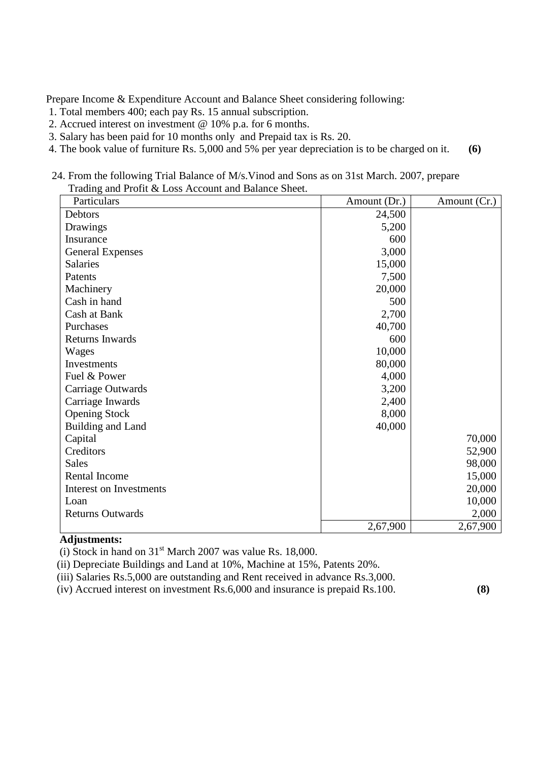Prepare Income & Expenditure Account and Balance Sheet considering following:

- 1. Total members 400; each pay Rs. 15 annual subscription.
- 2. Accrued interest on investment @ 10% p.a. for 6 months.
- 3. Salary has been paid for 10 months only and Prepaid tax is Rs. 20.
- 4. The book value of furniture Rs. 5,000 and 5% per year depreciation is to be charged on it. **(6)**
- 24. From the following Trial Balance of M/s.Vinod and Sons as on 31st March. 2007, prepare Trading and Profit & Loss Account and Balance Sheet.

| Particulars             | Amount (Dr.) | Amount (Cr.) |
|-------------------------|--------------|--------------|
| Debtors                 | 24,500       |              |
| Drawings                | 5,200        |              |
| Insurance               | 600          |              |
| <b>General Expenses</b> | 3,000        |              |
| <b>Salaries</b>         | 15,000       |              |
| Patents                 | 7,500        |              |
| Machinery               | 20,000       |              |
| Cash in hand            | 500          |              |
| Cash at Bank            | 2,700        |              |
| Purchases               | 40,700       |              |
| <b>Returns Inwards</b>  | 600          |              |
| Wages                   | 10,000       |              |
| Investments             | 80,000       |              |
| Fuel & Power            | 4,000        |              |
| Carriage Outwards       | 3,200        |              |
| Carriage Inwards        | 2,400        |              |
| <b>Opening Stock</b>    | 8,000        |              |
| Building and Land       | 40,000       |              |
| Capital                 |              | 70,000       |
| Creditors               |              | 52,900       |
| <b>Sales</b>            |              | 98,000       |
| Rental Income           |              | 15,000       |
| Interest on Investments |              | 20,000       |
| Loan                    |              | 10,000       |
| <b>Returns Outwards</b> |              | 2,000        |
|                         | 2,67,900     | 2,67,900     |

# **Adjustments:**

(i) Stock in hand on  $31<sup>st</sup>$  March 2007 was value Rs. 18,000.

(ii) Depreciate Buildings and Land at 10%, Machine at 15%, Patents 20%.

(iii) Salaries Rs.5,000 are outstanding and Rent received in advance Rs.3,000.

(iv) Accrued interest on investment Rs.6,000 and insurance is prepaid Rs.100. **(8)**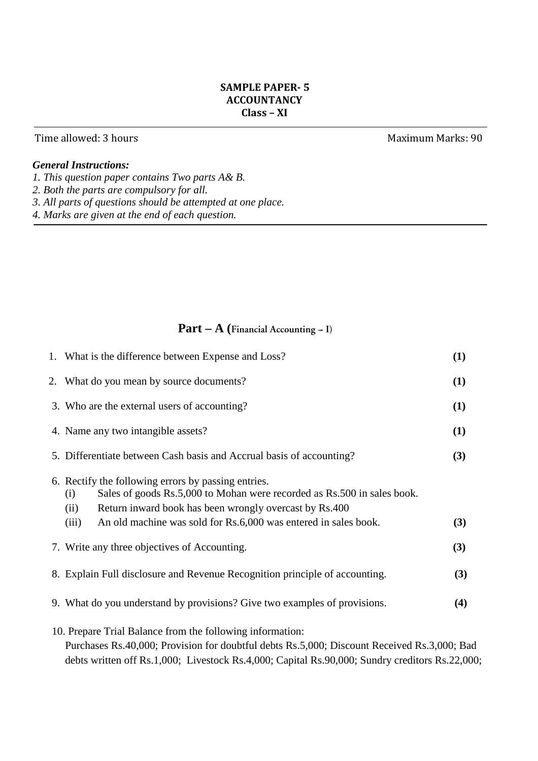# **SAMPLE PAPER- 5 ACCOUNTANCY Class – XI**

# Time allowed: 3 hours **Maximum Marks: 90**

# *General Instructions:*

- *1. This question paper contains Two parts A& B.*
- *2. Both the parts are compulsory for all.*
- *3. All parts of questions should be attempted at one place.*
- *4. Marks are given at the end of each question.*

# Part – A (Financial Accounting – I)

| 1. What is the difference between Expense and Loss?                                                                                                                                                                                                                                 | (1) |
|-------------------------------------------------------------------------------------------------------------------------------------------------------------------------------------------------------------------------------------------------------------------------------------|-----|
| 2. What do you mean by source documents?                                                                                                                                                                                                                                            | (1) |
| 3. Who are the external users of accounting?                                                                                                                                                                                                                                        | (1) |
| 4. Name any two intangible assets?                                                                                                                                                                                                                                                  | (1) |
| 5. Differentiate between Cash basis and Accrual basis of accounting?                                                                                                                                                                                                                | (3) |
| 6. Rectify the following errors by passing entries.<br>Sales of goods Rs.5,000 to Mohan were recorded as Rs.500 in sales book.<br>(i)<br>Return inward book has been wrongly overcast by Rs.400<br>(ii)<br>An old machine was sold for Rs.6,000 was entered in sales book.<br>(iii) | (3) |
| 7. Write any three objectives of Accounting.                                                                                                                                                                                                                                        | (3) |
| 8. Explain Full disclosure and Revenue Recognition principle of accounting.                                                                                                                                                                                                         | (3) |
| 9. What do you understand by provisions? Give two examples of provisions.                                                                                                                                                                                                           | (4) |
| 10. Prepare Trial Balance from the following information:<br>Purchases Rs.40,000; Provision for doubtful debts Rs.5,000; Discount Received Rs.3,000; Bad<br>debts written off Rs.1,000; Livestock Rs.4,000; Capital Rs.90,000; Sundry creditors Rs.22,000;                          |     |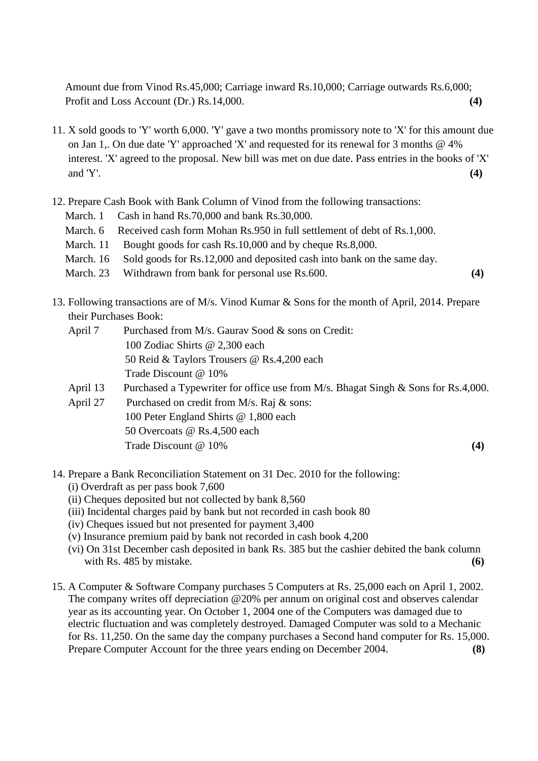Amount due from Vinod Rs.45,000; Carriage inward Rs.10,000; Carriage outwards Rs.6,000; Profit and Loss Account (Dr.) Rs.14,000. **(4)** 

- 11. X sold goods to 'Y' worth 6,000. 'Y' gave a two months promissory note to 'X' for this amount due on Jan 1,. On due date 'Y' approached 'X' and requested for its renewal for 3 months @ 4% interest. 'X' agreed to the proposal. New bill was met on due date. Pass entries in the books of 'X' and 'Y'. **(4)**
- 12. Prepare Cash Book with Bank Column of Vinod from the following transactions:
	- March. 1 Cash in hand Rs. 70,000 and bank Rs. 30,000.
	- March. 6 Received cash form Mohan Rs.950 in full settlement of debt of Rs.1,000.
	- March. 11 Bought goods for cash Rs.10,000 and by cheque Rs.8,000.
	- March. 16 Sold goods for Rs.12,000 and deposited cash into bank on the same day.
	- March. 23 Withdrawn from bank for personal use Rs.600. **(4)**
- 13. Following transactions are of M/s. Vinod Kumar & Sons for the month of April, 2014. Prepare their Purchases Book:
	- April 7 Purchased from M/s. Gaurav Sood & sons on Credit: 100 Zodiac Shirts @ 2,300 each 50 Reid & Taylors Trousers @ Rs.4,200 each Trade Discount @ 10%
	- April 13 Purchased a Typewriter for office use from M/s. Bhagat Singh & Sons for Rs.4,000.
	- April 27 Purchased on credit from M/s. Raj & sons: 100 Peter England Shirts @ 1,800 each 50 Overcoats @ Rs.4,500 each Trade Discount @ 10% **(4)** (4)
- 14. Prepare a Bank Reconciliation Statement on 31 Dec. 2010 for the following:
	- (i) Overdraft as per pass book 7,600
	- (ii) Cheques deposited but not collected by bank 8,560
	- (iii) Incidental charges paid by bank but not recorded in cash book 80
	- (iv) Cheques issued but not presented for payment 3,400
	- (v) Insurance premium paid by bank not recorded in cash book 4,200
	- (vi) On 31st December cash deposited in bank Rs. 385 but the cashier debited the bank column with Rs. 485 by mistake. **(6)**
- 15. A Computer & Software Company purchases 5 Computers at Rs. 25,000 each on April 1, 2002. The company writes off depreciation @20% per annum on original cost and observes calendar year as its accounting year. On October 1, 2004 one of the Computers was damaged due to electric fluctuation and was completely destroyed. Damaged Computer was sold to a Mechanic for Rs. 11,250. On the same day the company purchases a Second hand computer for Rs. 15,000. Prepare Computer Account for the three years ending on December 2004. **(8)**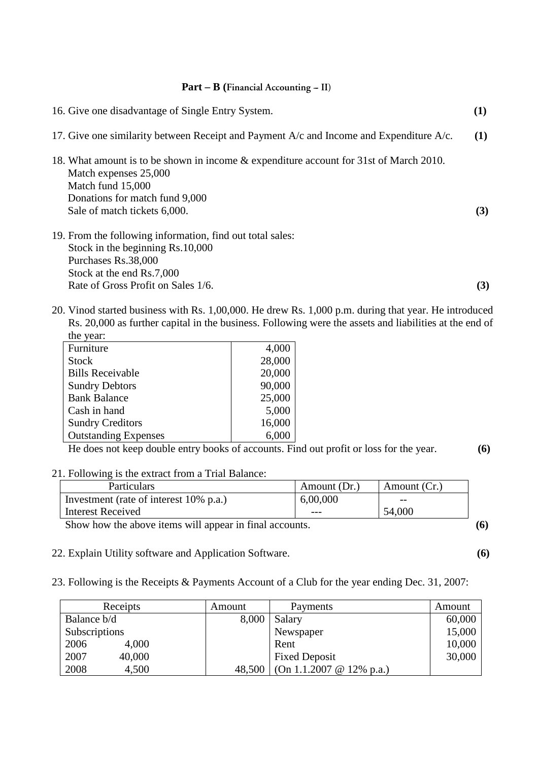### Part – B (Financial Accounting – II)

| 16. Give one disadvantage of Single Entry System.                                                               | $\bf(1)$ |
|-----------------------------------------------------------------------------------------------------------------|----------|
| 17. Give one similarity between Receipt and Payment A/c and Income and Expenditure A/c.                         | (1)      |
| 18. What amount is to be shown in income & expenditure account for 31st of March 2010.<br>Match expenses 25,000 |          |
| Match fund 15,000<br>Donations for match fund 9,000                                                             |          |
| Sale of match tickets 6,000.                                                                                    | (3)      |
| 19. From the following information, find out total sales:                                                       |          |
| Stock in the beginning Rs.10,000                                                                                |          |
| Purchases Rs.38,000                                                                                             |          |
| Stock at the end Rs.7,000                                                                                       |          |
| Rate of Gross Profit on Sales 1/6.                                                                              | (3)      |

d started business with Rs.  $1,00,000$ . He drew Rs.  $1,000$  p.m. during that year. He introduced Rs. 20,000 as further capital in the business. Following were the assets and liabilities at the end of the year:

| Furniture                   | 4,000  |
|-----------------------------|--------|
| <b>Stock</b>                | 28,000 |
| <b>Bills Receivable</b>     | 20,000 |
| <b>Sundry Debtors</b>       | 90,000 |
| <b>Bank Balance</b>         | 25,000 |
| Cash in hand                | 5,000  |
| <b>Sundry Creditors</b>     | 16,000 |
| <b>Outstanding Expenses</b> | 6,000  |

He does not keep double entry books of accounts. Find out profit or loss for the year. **(6)**

### 21. Following is the extract from a Trial Balance:

| <b>Particulars</b>                     | Amount (Dr.) | Amount (Cr.) |
|----------------------------------------|--------------|--------------|
| Investment (rate of interest 10% p.a.) | 6,00,000     | $ -$         |
| Interest Received                      | $- - -$      | 54,000       |
|                                        |              |              |

Show how the above items will appear in final accounts. **(6)** 

- 22. Explain Utility software and Application Software. **(6)**
- 23. Following is the Receipts & Payments Account of a Club for the year ending Dec. 31, 2007:

| Receipts       | Amount | Payments                     | Amount |
|----------------|--------|------------------------------|--------|
| Balance b/d    | 8,000  | Salary                       | 60,000 |
| Subscriptions  |        | Newspaper                    | 15,000 |
| 2006<br>4,000  |        | Rent                         | 10,000 |
| 2007<br>40,000 |        | <b>Fixed Deposit</b>         | 30,000 |
| 2008<br>4,500  | 48,500 | $(On 1.1.2007 \& 12\% p.a.)$ |        |